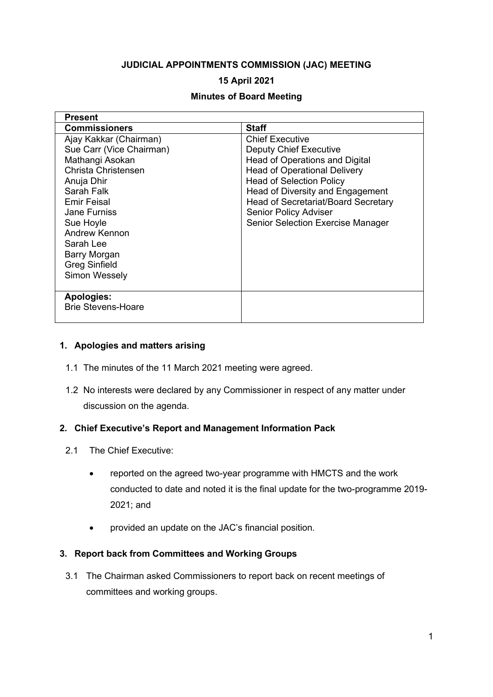### **JUDICIAL APPOINTMENTS COMMISSION (JAC) MEETING**

### **15 April 2021**

### **Minutes of Board Meeting**

| <b>Present</b>            |                                          |
|---------------------------|------------------------------------------|
| <b>Commissioners</b>      | <b>Staff</b>                             |
| Ajay Kakkar (Chairman)    | <b>Chief Executive</b>                   |
| Sue Carr (Vice Chairman)  | <b>Deputy Chief Executive</b>            |
| Mathangi Asokan           | Head of Operations and Digital           |
| Christa Christensen       | <b>Head of Operational Delivery</b>      |
| Anuja Dhir                | <b>Head of Selection Policy</b>          |
| Sarah Falk                | Head of Diversity and Engagement         |
| <b>Emir Feisal</b>        | Head of Secretariat/Board Secretary      |
| <b>Jane Furniss</b>       | <b>Senior Policy Adviser</b>             |
| Sue Hoyle                 | <b>Senior Selection Exercise Manager</b> |
| <b>Andrew Kennon</b>      |                                          |
| Sarah Lee                 |                                          |
| Barry Morgan              |                                          |
| <b>Greg Sinfield</b>      |                                          |
| Simon Wessely             |                                          |
|                           |                                          |
| <b>Apologies:</b>         |                                          |
| <b>Brie Stevens-Hoare</b> |                                          |
|                           |                                          |

#### **1. Apologies and matters arising**

- 1.1 The minutes of the 11 March 2021 meeting were agreed.
- 1.2 No interests were declared by any Commissioner in respect of any matter under discussion on the agenda.

#### **2. Chief Executive's Report and Management Information Pack**

- 2.1 The Chief Executive:
	- reported on the agreed two-year programme with HMCTS and the work conducted to date and noted it is the final update for the two-programme 2019- 2021; and
	- provided an update on the JAC's financial position.

## **3. Report back from Committees and Working Groups**

3.1 The Chairman asked Commissioners to report back on recent meetings of committees and working groups.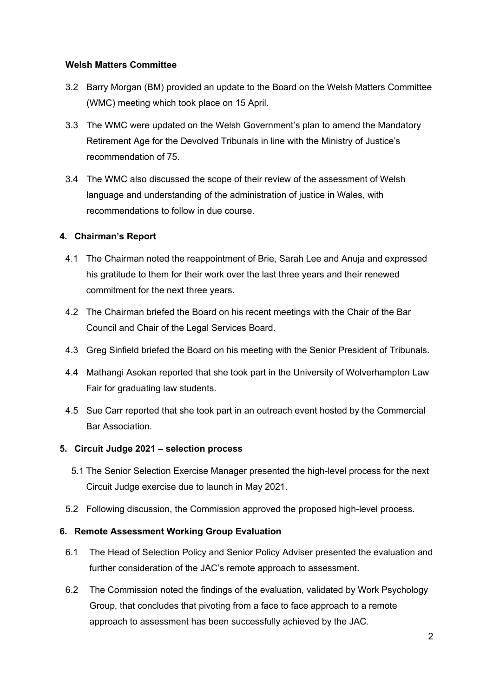### **Welsh Matters Committee**

- 3.2 Barry Morgan (BM) provided an update to the Board on the Welsh Matters Committee (WMC) meeting which took place on 15 April.
- 3.3 The WMC were updated on the Welsh Government's plan to amend the Mandatory Retirement Age for the Devolved Tribunals in line with the Ministry of Justice's recommendation of 75.
- 3.4 The WMC also discussed the scope of their review of the assessment of Welsh language and understanding of the administration of justice in Wales, with recommendations to follow in due course.

## **4. Chairman's Report**

- 4.1 The Chairman noted the reappointment of Brie, Sarah Lee and Anuja and expressed his gratitude to them for their work over the last three years and their renewed commitment for the next three years.
- 4.2 The Chairman briefed the Board on his recent meetings with the Chair of the Bar Council and Chair of the Legal Services Board.
- 4.3 Greg Sinfield briefed the Board on his meeting with the Senior President of Tribunals.
- 4.4 Mathangi Asokan reported that she took part in the University of Wolverhampton Law Fair for graduating law students.
- 4.5 Sue Carr reported that she took part in an outreach event hosted by the Commercial Bar Association.

## **5. Circuit Judge 2021 – selection process**

- 5.1 The Senior Selection Exercise Manager presented the high-level process for the next Circuit Judge exercise due to launch in May 2021.
- 5.2 Following discussion, the Commission approved the proposed high-level process.

## **6. Remote Assessment Working Group Evaluation**

- 6.1 The Head of Selection Policy and Senior Policy Adviser presented the evaluation and further consideration of the JAC's remote approach to assessment.
- 6.2 The Commission noted the findings of the evaluation, validated by Work Psychology Group, that concludes that pivoting from a face to face approach to a remote approach to assessment has been successfully achieved by the JAC.